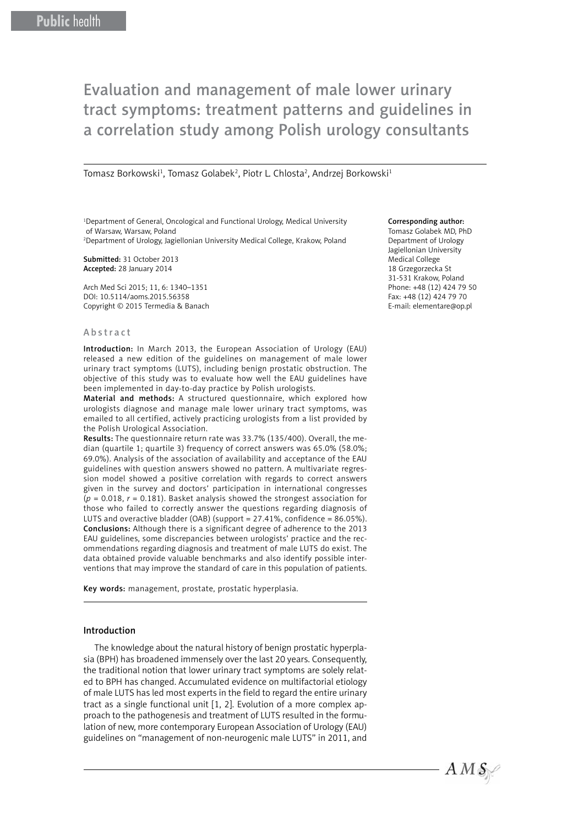# Evaluation and management of male lower urinary tract symptoms: treatment patterns and guidelines in a correlation study among Polish urology consultants

Tomasz Borkowski<sup>1</sup>, Tomasz Golabek<sup>2</sup>, Piotr L. Chlosta<sup>2</sup>, Andrzej Borkowski<sup>1</sup>

1 Department of General, Oncological and Functional Urology, Medical University of Warsaw, Warsaw, Poland 2 Department of Urology, Jagiellonian University Medical College, Krakow, Poland

Submitted: 31 October 2013

Accepted: 28 January 2014

Arch Med Sci 2015; 11, 6: 1340–1351 DOI: 10.5114/aoms.2015.56358 Copyright © 2015 Termedia & Banach

#### Corresponding author:

Tomasz Golabek MD, PhD Department of Urology Jagiellonian University Medical College 18 Grzegorzecka St 31-531 Krakow, Poland Phone: +48 (12) 424 79 50 Fax: +48 (12) 424 79 70 E-mail: elementare@op.pl

#### Abstract

Introduction: In March 2013, the European Association of Urology (EAU) released a new edition of the guidelines on management of male lower urinary tract symptoms (LUTS), including benign prostatic obstruction. The objective of this study was to evaluate how well the EAU guidelines have been implemented in day-to-day practice by Polish urologists.

Material and methods: A structured questionnaire, which explored how urologists diagnose and manage male lower urinary tract symptoms, was emailed to all certified, actively practicing urologists from a list provided by the Polish Urological Association.

Results: The questionnaire return rate was 33.7% (135/400). Overall, the median (quartile 1; quartile 3) frequency of correct answers was 65.0% (58.0%; 69.0%). Analysis of the association of availability and acceptance of the EAU guidelines with question answers showed no pattern. A multivariate regression model showed a positive correlation with regards to correct answers given in the survey and doctors' participation in international congresses (*p* = 0.018, *r* = 0.181). Basket analysis showed the strongest association for those who failed to correctly answer the questions regarding diagnosis of LUTS and overactive bladder (OAB) (support = 27.41%, confidence = 86.05%). Conclusions: Although there is a significant degree of adherence to the 2013 EAU guidelines, some discrepancies between urologists' practice and the recommendations regarding diagnosis and treatment of male LUTS do exist. The data obtained provide valuable benchmarks and also identify possible interventions that may improve the standard of care in this population of patients.

Key words: management, prostate, prostatic hyperplasia.

#### Introduction

The knowledge about the natural history of benign prostatic hyperplasia (BPH) has broadened immensely over the last 20 years. Consequently, the traditional notion that lower urinary tract symptoms are solely related to BPH has changed. Accumulated evidence on multifactorial etiology of male LUTS has led most experts in the field to regard the entire urinary tract as a single functional unit [1, 2]. Evolution of a more complex approach to the pathogenesis and treatment of LUTS resulted in the formulation of new, more contemporary European Association of Urology (EAU) guidelines on "management of non-neurogenic male LUTS" in 2011, and

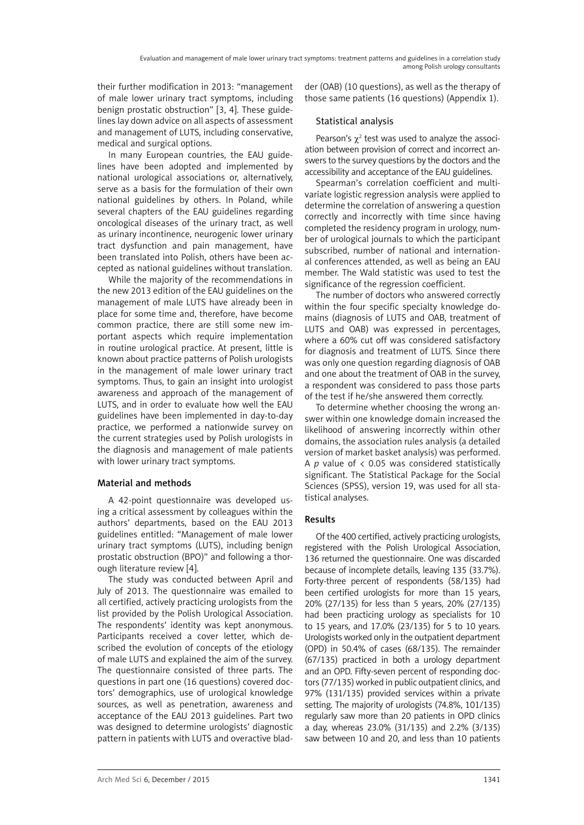their further modification in 2013: "management of male lower urinary tract symptoms, including benign prostatic obstruction" [3, 4]. These guidelines lay down advice on all aspects of assessment and management of LUTS, including conservative, medical and surgical options.

In many European countries, the EAU guidelines have been adopted and implemented by national urological associations or, alternatively, serve as a basis for the formulation of their own national guidelines by others. In Poland, while several chapters of the EAU guidelines regarding oncological diseases of the urinary tract, as well as urinary incontinence, neurogenic lower urinary tract dysfunction and pain management, have been translated into Polish, others have been accepted as national guidelines without translation.

While the majority of the recommendations in the new 2013 edition of the EAU guidelines on the management of male LUTS have already been in place for some time and, therefore, have become common practice, there are still some new important aspects which require implementation in routine urological practice. At present, little is known about practice patterns of Polish urologists in the management of male lower urinary tract symptoms. Thus, to gain an insight into urologist awareness and approach of the management of LUTS, and in order to evaluate how well the EAU guidelines have been implemented in day-to-day practice, we performed a nationwide survey on the current strategies used by Polish urologists in the diagnosis and management of male patients with lower urinary tract symptoms.

## Material and methods

A 42-point questionnaire was developed using a critical assessment by colleagues within the authors' departments, based on the EAU 2013 guidelines entitled: "Management of male lower urinary tract symptoms (LUTS), including benign prostatic obstruction (BPO)" and following a thorough literature review [4].

The study was conducted between April and July of 2013. The questionnaire was emailed to all certified, actively practicing urologists from the list provided by the Polish Urological Association. The respondents' identity was kept anonymous. Participants received a cover letter, which described the evolution of concepts of the etiology of male LUTS and explained the aim of the survey. The questionnaire consisted of three parts. The questions in part one (16 questions) covered doctors' demographics, use of urological knowledge sources, as well as penetration, awareness and acceptance of the EAU 2013 guidelines. Part two was designed to determine urologists' diagnostic pattern in patients with LUTS and overactive bladder (OAB) (10 questions), as well as the therapy of those same patients (16 questions) (Appendix 1).

## Statistical analysis

Pearson's  $\chi^2$  test was used to analyze the association between provision of correct and incorrect answers to the survey questions by the doctors and the accessibility and acceptance of the EAU guidelines.

Spearman's correlation coefficient and multivariate logistic regression analysis were applied to determine the correlation of answering a question correctly and incorrectly with time since having completed the residency program in urology, number of urological journals to which the participant subscribed, number of national and international conferences attended, as well as being an EAU member. The Wald statistic was used to test the significance of the regression coefficient.

The number of doctors who answered correctly within the four specific specialty knowledge domains (diagnosis of LUTS and OAB, treatment of LUTS and OAB) was expressed in percentages, where a 60% cut off was considered satisfactory for diagnosis and treatment of LUTS. Since there was only one question regarding diagnosis of OAB and one about the treatment of OAB in the survey, a respondent was considered to pass those parts of the test if he/she answered them correctly.

To determine whether choosing the wrong answer within one knowledge domain increased the likelihood of answering incorrectly within other domains, the association rules analysis (a detailed version of market basket analysis) was performed. A *p* value of < 0.05 was considered statistically significant. The Statistical Package for the Social Sciences (SPSS), version 19, was used for all statistical analyses.

# Results

Of the 400 certified, actively practicing urologists, registered with the Polish Urological Association, 136 returned the questionnaire. One was discarded because of incomplete details, leaving 135 (33.7%). Forty-three percent of respondents (58/135) had been certified urologists for more than 15 years, 20% (27/135) for less than 5 years, 20% (27/135) had been practicing urology as specialists for 10 to 15 years, and 17.0% (23/135) for 5 to 10 years. Urologists worked only in the outpatient department (OPD) in 50.4% of cases (68/135). The remainder (67/135) practiced in both a urology department and an OPD. Fifty-seven percent of responding doctors (77/135) worked in public outpatient clinics, and 97% (131/135) provided services within a private setting. The majority of urologists (74.8%, 101/135) regularly saw more than 20 patients in OPD clinics a day, whereas 23.0% (31/135) and 2.2% (3/135) saw between 10 and 20, and less than 10 patients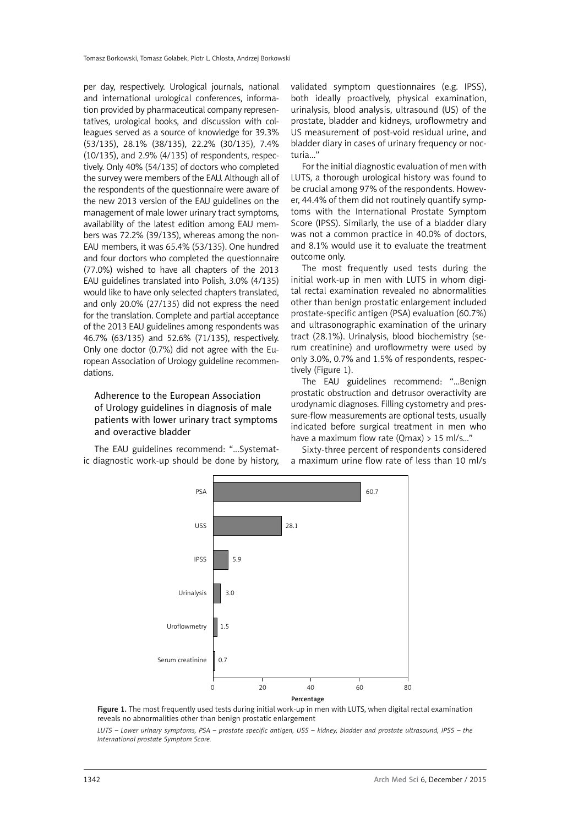per day, respectively. Urological journals, national and international urological conferences, information provided by pharmaceutical company representatives, urological books, and discussion with colleagues served as a source of knowledge for 39.3% (53/135), 28.1% (38/135), 22.2% (30/135), 7.4% (10/135), and 2.9% (4/135) of respondents, respectively. Only 40% (54/135) of doctors who completed the survey were members of the EAU. Although all of the respondents of the questionnaire were aware of the new 2013 version of the EAU guidelines on the management of male lower urinary tract symptoms, availability of the latest edition among EAU members was 72.2% (39/135), whereas among the non-EAU members, it was 65.4% (53/135). One hundred and four doctors who completed the questionnaire (77.0%) wished to have all chapters of the 2013 EAU guidelines translated into Polish, 3.0% (4/135) would like to have only selected chapters translated, and only 20.0% (27/135) did not express the need for the translation. Complete and partial acceptance of the 2013 EAU guidelines among respondents was 46.7% (63/135) and 52.6% (71/135), respectively. Only one doctor (0.7%) did not agree with the European Association of Urology guideline recommendations.

## Adherence to the European Association of Urology guidelines in diagnosis of male patients with lower urinary tract symptoms and overactive bladder

The EAU guidelines recommend: "...Systematic diagnostic work-up should be done by history, validated symptom questionnaires (e.g. IPSS), both ideally proactively, physical examination, urinalysis, blood analysis, ultrasound (US) of the prostate, bladder and kidneys, uroflowmetry and US measurement of post-void residual urine, and bladder diary in cases of urinary frequency or nocturia..."

For the initial diagnostic evaluation of men with LUTS, a thorough urological history was found to be crucial among 97% of the respondents. However, 44.4% of them did not routinely quantify symptoms with the International Prostate Symptom Score (IPSS). Similarly, the use of a bladder diary was not a common practice in 40.0% of doctors, and 8.1% would use it to evaluate the treatment outcome only.

The most frequently used tests during the initial work-up in men with LUTS in whom digital rectal examination revealed no abnormalities other than benign prostatic enlargement included prostate-specific antigen (PSA) evaluation (60.7%) and ultrasonographic examination of the urinary tract (28.1%). Urinalysis, blood biochemistry (serum creatinine) and uroflowmetry were used by only 3.0%, 0.7% and 1.5% of respondents, respectively (Figure 1).

The EAU guidelines recommend: "…Benign prostatic obstruction and detrusor overactivity are urodynamic diagnoses. Filling cystometry and pressure-flow measurements are optional tests, usually indicated before surgical treatment in men who have a maximum flow rate (Qmax) > 15 ml/s..."

Sixty-three percent of respondents considered a maximum urine flow rate of less than 10 ml/s



Figure 1. The most frequently used tests during initial work-up in men with LUTS, when digital rectal examination reveals no abnormalities other than benign prostatic enlargement

*LUTS – Lower urinary symptoms, PSA – prostate specific antigen, USS – kidney, bladder and prostate ultrasound, IPSS – the International prostate Symptom Score.*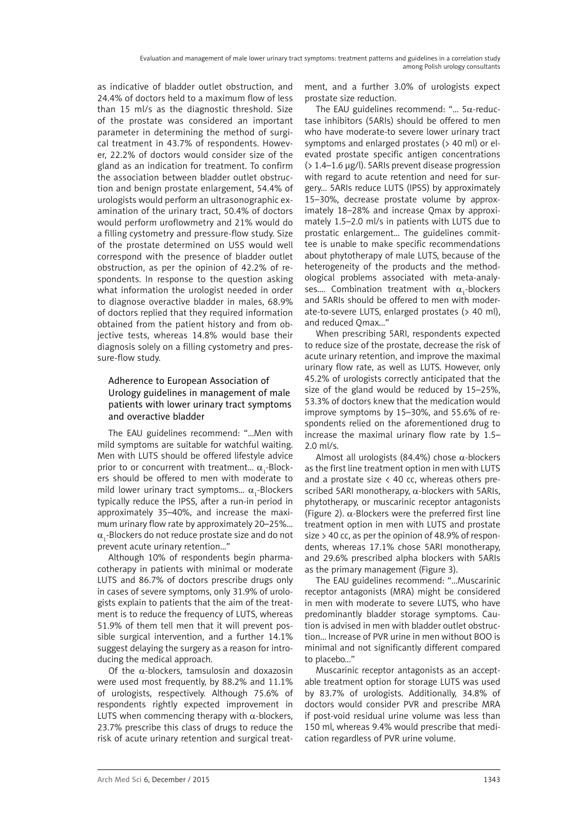as indicative of bladder outlet obstruction, and 24.4% of doctors held to a maximum flow of less than 15 ml/s as the diagnostic threshold. Size of the prostate was considered an important parameter in determining the method of surgical treatment in 43.7% of respondents. However, 22.2% of doctors would consider size of the gland as an indication for treatment. To confirm the association between bladder outlet obstruction and benign prostate enlargement, 54.4% of urologists would perform an ultrasonographic examination of the urinary tract, 50.4% of doctors would perform uroflowmetry and 21% would do a filling cystometry and pressure-flow study. Size of the prostate determined on USS would well correspond with the presence of bladder outlet obstruction, as per the opinion of 42.2% of respondents. In response to the question asking what information the urologist needed in order to diagnose overactive bladder in males, 68.9% of doctors replied that they required information obtained from the patient history and from objective tests, whereas 14.8% would base their diagnosis solely on a filling cystometry and pressure-flow study.

## Adherence to European Association of Urology guidelines in management of male patients with lower urinary tract symptoms and overactive bladder

The EAU guidelines recommend: "…Men with mild symptoms are suitable for watchful waiting. Men with LUTS should be offered lifestyle advice prior to or concurrent with treatment...  $\alpha_{_1}$ -Blockers should be offered to men with moderate to mild lower urinary tract symptoms...  $\alpha_{1}$ -Blockers typically reduce the IPSS, after a run-in period in approximately 35–40%, and increase the maximum urinary flow rate by approximately 20–25%...  $\alpha_{_1}$ -Blockers do not reduce prostate size and do not prevent acute urinary retention…"

Although 10% of respondents begin pharmacotherapy in patients with minimal or moderate LUTS and 86.7% of doctors prescribe drugs only in cases of severe symptoms, only 31.9% of urologists explain to patients that the aim of the treatment is to reduce the frequency of LUTS, whereas 51.9% of them tell men that it will prevent possible surgical intervention, and a further 14.1% suggest delaying the surgery as a reason for introducing the medical approach.

Of the  $\alpha$ -blockers, tamsulosin and doxazosin were used most frequently, by 88.2% and 11.1% of urologists, respectively. Although 75.6% of respondents rightly expected improvement in LUTS when commencing therapy with  $\alpha$ -blockers, 23.7% prescribe this class of drugs to reduce the risk of acute urinary retention and surgical treatment, and a further 3.0% of urologists expect prostate size reduction.

The EAU guidelines recommend: "...  $5\alpha$ -reductase inhibitors (5ARIs) should be offered to men who have moderate-to severe lower urinary tract symptoms and enlarged prostates (> 40 ml) or elevated prostate specific antigen concentrations (> 1.4–1.6 µg/l). 5ARIs prevent disease progression with regard to acute retention and need for surgery... 5ARIs reduce LUTS (IPSS) by approximately 15–30%, decrease prostate volume by approximately 18–28% and increase Qmax by approximately 1.5–2.0 ml/s in patients with LUTS due to prostatic enlargement… The guidelines committee is unable to make specific recommendations about phytotherapy of male LUTS, because of the heterogeneity of the products and the methodological problems associated with meta-analyses.... Combination treatment with  $\alpha_{1}$ -blockers and 5ARIs should be offered to men with moderate-to-severe LUTS, enlarged prostates (> 40 ml), and reduced Qmax…"

When prescribing 5ARI, respondents expected to reduce size of the prostate, decrease the risk of acute urinary retention, and improve the maximal urinary flow rate, as well as LUTS. However, only 45.2% of urologists correctly anticipated that the size of the gland would be reduced by 15–25%, 53.3% of doctors knew that the medication would improve symptoms by 15–30%, and 55.6% of respondents relied on the aforementioned drug to increase the maximal urinary flow rate by 1.5– 2.0 ml/s.

Almost all urologists (84.4%) chose  $\alpha$ -blockers as the first line treatment option in men with LUTS and a prostate size  $\langle 40 \rangle$  cc, whereas others prescribed 5ARI monotherapy,  $\alpha$ -blockers with 5ARIs, phytotherapy, or muscarinic receptor antagonists (Figure 2).  $\alpha$ -Blockers were the preferred first line treatment option in men with LUTS and prostate size > 40 cc, as per the opinion of 48.9% of respondents, whereas 17.1% chose 5ARI monotherapy, and 29.6% prescribed alpha blockers with 5ARIs as the primary management (Figure 3).

The EAU guidelines recommend: "…Muscarinic receptor antagonists (MRA) might be considered in men with moderate to severe LUTS, who have predominantly bladder storage symptoms. Caution is advised in men with bladder outlet obstruction… Increase of PVR urine in men without BOO is minimal and not significantly different compared to placebo…"

Muscarinic receptor antagonists as an acceptable treatment option for storage LUTS was used by 83.7% of urologists. Additionally, 34.8% of doctors would consider PVR and prescribe MRA if post-void residual urine volume was less than 150 ml, whereas 9.4% would prescribe that medication regardless of PVR urine volume.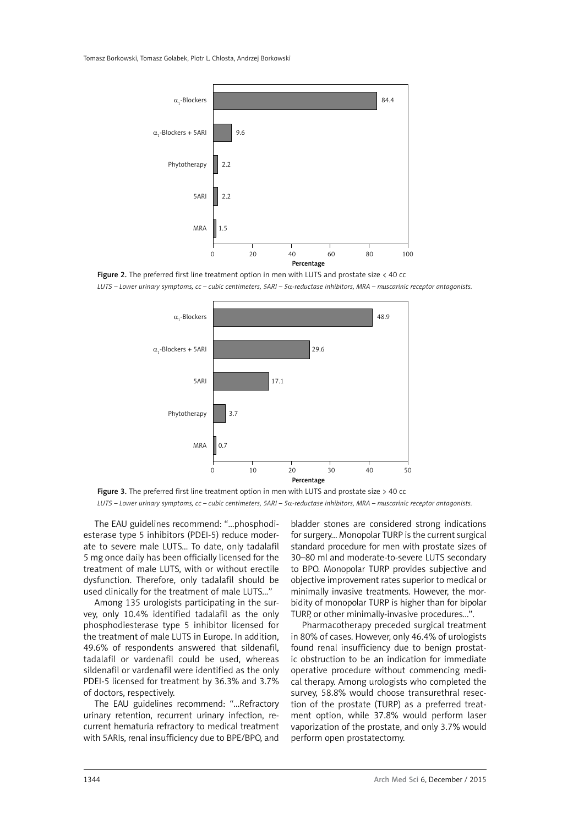

Figure 2. The preferred first line treatment option in men with LUTS and prostate size < 40 cc *LUTS – Lower urinary symptoms, cc – cubic centimeters, 5ARI – 5*a*-reductase inhibitors, MRA – muscarinic receptor antagonists.*



Figure 3. The preferred first line treatment option in men with LUTS and prostate size > 40 cc *LUTS – Lower urinary symptoms, cc – cubic centimeters, 5ARI – 5*a*-reductase inhibitors, MRA – muscarinic receptor antagonists.*

The EAU guidelines recommend: "…phosphodiesterase type 5 inhibitors (PDEI-5) reduce moderate to severe male LUTS… To date, only tadalafil 5 mg once daily has been officially licensed for the treatment of male LUTS, with or without erectile dysfunction. Therefore, only tadalafil should be used clinically for the treatment of male LUTS…"

Among 135 urologists participating in the survey, only 10.4% identified tadalafil as the only phosphodiesterase type 5 inhibitor licensed for the treatment of male LUTS in Europe. In addition, 49.6% of respondents answered that sildenafil, tadalafil or vardenafil could be used, whereas sildenafil or vardenafil were identified as the only PDEI-5 licensed for treatment by 36.3% and 3.7% of doctors, respectively.

The EAU guidelines recommend: "…Refractory urinary retention, recurrent urinary infection, recurrent hematuria refractory to medical treatment with 5ARIs, renal insufficiency due to BPE/BPO, and bladder stones are considered strong indications for surgery… Monopolar TURP is the current surgical standard procedure for men with prostate sizes of 30–80 ml and moderate-to-severe LUTS secondary to BPO. Monopolar TURP provides subjective and objective improvement rates superior to medical or minimally invasive treatments. However, the morbidity of monopolar TURP is higher than for bipolar TURP, or other minimally-invasive procedures…".

Pharmacotherapy preceded surgical treatment in 80% of cases. However, only 46.4% of urologists found renal insufficiency due to benign prostatic obstruction to be an indication for immediate operative procedure without commencing medical therapy. Among urologists who completed the survey, 58.8% would choose transurethral resection of the prostate (TURP) as a preferred treatment option, while 37.8% would perform laser vaporization of the prostate, and only 3.7% would perform open prostatectomy.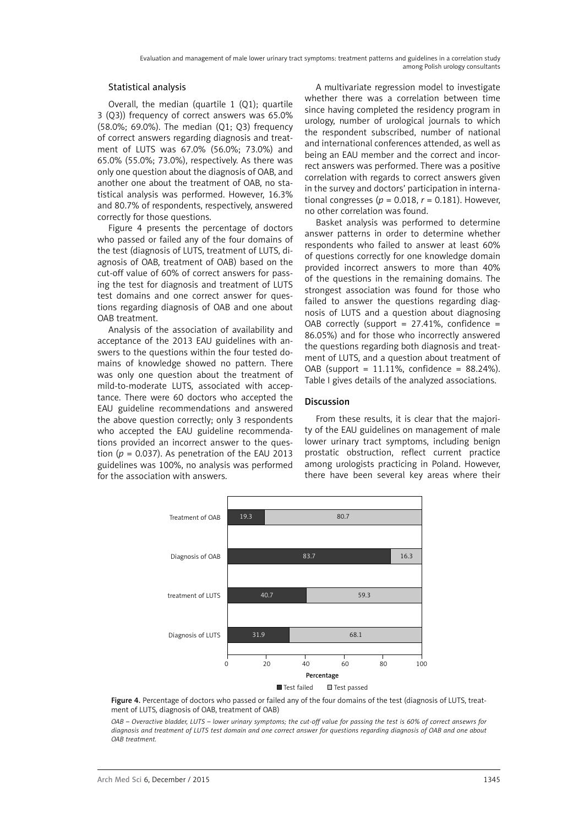### Statistical analysis

Overall, the median (quartile 1 (Q1); quartile 3 (Q3)) frequency of correct answers was 65.0% (58.0%; 69.0%). The median (Q1; Q3) frequency of correct answers regarding diagnosis and treatment of LUTS was 67.0% (56.0%; 73.0%) and 65.0% (55.0%; 73.0%), respectively. As there was only one question about the diagnosis of OAB, and another one about the treatment of OAB, no statistical analysis was performed. However, 16.3% and 80.7% of respondents, respectively, answered correctly for those questions.

Figure 4 presents the percentage of doctors who passed or failed any of the four domains of the test (diagnosis of LUTS, treatment of LUTS, diagnosis of OAB, treatment of OAB) based on the cut-off value of 60% of correct answers for passing the test for diagnosis and treatment of LUTS test domains and one correct answer for questions regarding diagnosis of OAB and one about OAB treatment.

Analysis of the association of availability and acceptance of the 2013 EAU guidelines with answers to the questions within the four tested domains of knowledge showed no pattern. There was only one question about the treatment of mild-to-moderate LUTS, associated with acceptance. There were 60 doctors who accepted the EAU guideline recommendations and answered the above question correctly; only 3 respondents who accepted the EAU guideline recommendations provided an incorrect answer to the question ( $p = 0.037$ ). As penetration of the EAU 2013 guidelines was 100%, no analysis was performed for the association with answers.

A multivariate regression model to investigate whether there was a correlation between time since having completed the residency program in urology, number of urological journals to which the respondent subscribed, number of national and international conferences attended, as well as being an EAU member and the correct and incorrect answers was performed. There was a positive correlation with regards to correct answers given in the survey and doctors' participation in international congresses ( $p = 0.018$ ,  $r = 0.181$ ). However, no other correlation was found.

Basket analysis was performed to determine answer patterns in order to determine whether respondents who failed to answer at least 60% of questions correctly for one knowledge domain provided incorrect answers to more than 40% of the questions in the remaining domains. The strongest association was found for those who failed to answer the questions regarding diagnosis of LUTS and a question about diagnosing OAB correctly (support =  $27.41\%$ , confidence = 86.05%) and for those who incorrectly answered the questions regarding both diagnosis and treatment of LUTS, and a question about treatment of OAB (support =  $11.11\%$ , confidence =  $88.24\%$ ). Table I gives details of the analyzed associations.

## Discussion

From these results, it is clear that the majority of the EAU guidelines on management of male lower urinary tract symptoms, including benign prostatic obstruction, reflect current practice among urologists practicing in Poland. However, there have been several key areas where their



Figure 4. Percentage of doctors who passed or failed any of the four domains of the test (diagnosis of LUTS, treatment of LUTS, diagnosis of OAB, treatment of OAB)

*OAB – Overactive bladder, LUTS – lower urinary symptoms; the cut-off value for passing the test is 60% of correct ansewrs for diagnosis and treatment of LUTS test domain and one correct answer for questions regarding diagnosis of OAB and one about OAB treatment.*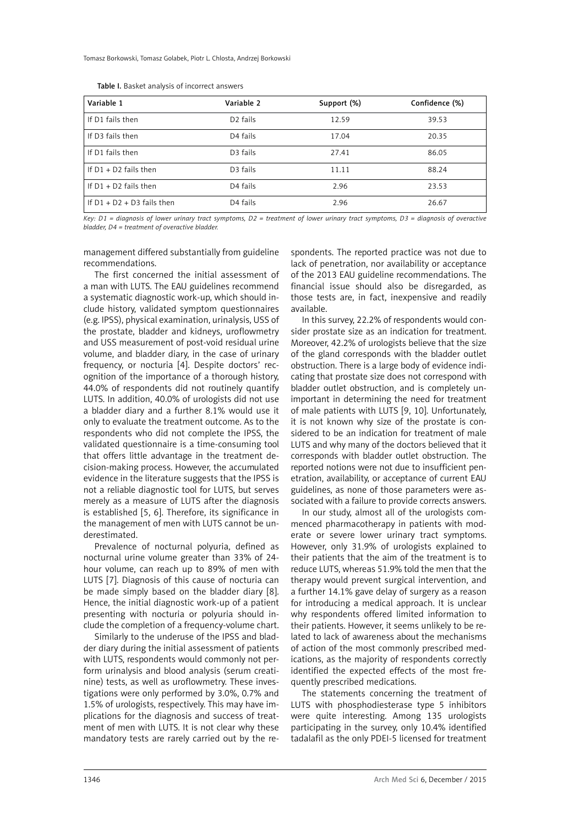Tomasz Borkowski, Tomasz Golabek, Piotr L. Chlosta, Andrzej Borkowski

| Variable 1                   | Variable 2           | Support (%) | Confidence (%) |
|------------------------------|----------------------|-------------|----------------|
| If D1 fails then             | D <sub>2</sub> fails | 12.59       | 39.53          |
| If D3 fails then             | D <sub>4</sub> fails | 17.04       | 20.35          |
| If D1 fails then             | D <sub>3</sub> fails | 27.41       | 86.05          |
| If $D1 + D2$ fails then      | D <sub>3</sub> fails | 11.11       | 88.24          |
| If $D1 + D2$ fails then      | D <sub>4</sub> fails | 2.96        | 23.53          |
| If $D1 + D2 + D3$ fails then | D4 fails             | 2.96        | 26.67          |

*Key: D1 = diagnosis of lower urinary tract symptoms, D2 = treatment of lower urinary tract symptoms, D3 = diagnosis of overactive bladder, D4 = treatment of overactive bladder.*

management differed substantially from guideline recommendations.

The first concerned the initial assessment of a man with LUTS. The EAU guidelines recommend a systematic diagnostic work-up, which should include history, validated symptom questionnaires (e.g. IPSS), physical examination, urinalysis, USS of the prostate, bladder and kidneys, uroflowmetry and USS measurement of post-void residual urine volume, and bladder diary, in the case of urinary frequency, or nocturia [4]. Despite doctors' recognition of the importance of a thorough history, 44.0% of respondents did not routinely quantify LUTS. In addition, 40.0% of urologists did not use a bladder diary and a further 8.1% would use it only to evaluate the treatment outcome. As to the respondents who did not complete the IPSS, the validated questionnaire is a time-consuming tool that offers little advantage in the treatment decision-making process. However, the accumulated evidence in the literature suggests that the IPSS is not a reliable diagnostic tool for LUTS, but serves merely as a measure of LUTS after the diagnosis is established [5, 6]. Therefore, its significance in the management of men with LUTS cannot be underestimated.

Prevalence of nocturnal polyuria, defined as nocturnal urine volume greater than 33% of 24 hour volume, can reach up to 89% of men with LUTS [7]. Diagnosis of this cause of nocturia can be made simply based on the bladder diary [8]. Hence, the initial diagnostic work-up of a patient presenting with nocturia or polyuria should include the completion of a frequency-volume chart.

Similarly to the underuse of the IPSS and bladder diary during the initial assessment of patients with LUTS, respondents would commonly not perform urinalysis and blood analysis (serum creatinine) tests, as well as uroflowmetry. These investigations were only performed by 3.0%, 0.7% and 1.5% of urologists, respectively. This may have implications for the diagnosis and success of treatment of men with LUTS. It is not clear why these mandatory tests are rarely carried out by the re-

spondents. The reported practice was not due to lack of penetration, nor availability or acceptance of the 2013 EAU guideline recommendations. The financial issue should also be disregarded, as those tests are, in fact, inexpensive and readily available.

In this survey, 22.2% of respondents would consider prostate size as an indication for treatment. Moreover, 42.2% of urologists believe that the size of the gland corresponds with the bladder outlet obstruction. There is a large body of evidence indicating that prostate size does not correspond with bladder outlet obstruction, and is completely unimportant in determining the need for treatment of male patients with LUTS [9, 10]. Unfortunately, it is not known why size of the prostate is considered to be an indication for treatment of male LUTS and why many of the doctors believed that it corresponds with bladder outlet obstruction. The reported notions were not due to insufficient penetration, availability, or acceptance of current EAU guidelines, as none of those parameters were associated with a failure to provide corrects answers.

In our study, almost all of the urologists commenced pharmacotherapy in patients with moderate or severe lower urinary tract symptoms. However, only 31.9% of urologists explained to their patients that the aim of the treatment is to reduce LUTS, whereas 51.9% told the men that the therapy would prevent surgical intervention, and a further 14.1% gave delay of surgery as a reason for introducing a medical approach. It is unclear why respondents offered limited information to their patients. However, it seems unlikely to be related to lack of awareness about the mechanisms of action of the most commonly prescribed medications, as the majority of respondents correctly identified the expected effects of the most frequently prescribed medications.

The statements concerning the treatment of LUTS with phosphodiesterase type 5 inhibitors were quite interesting. Among 135 urologists participating in the survey, only 10.4% identified tadalafil as the only PDEI-5 licensed for treatment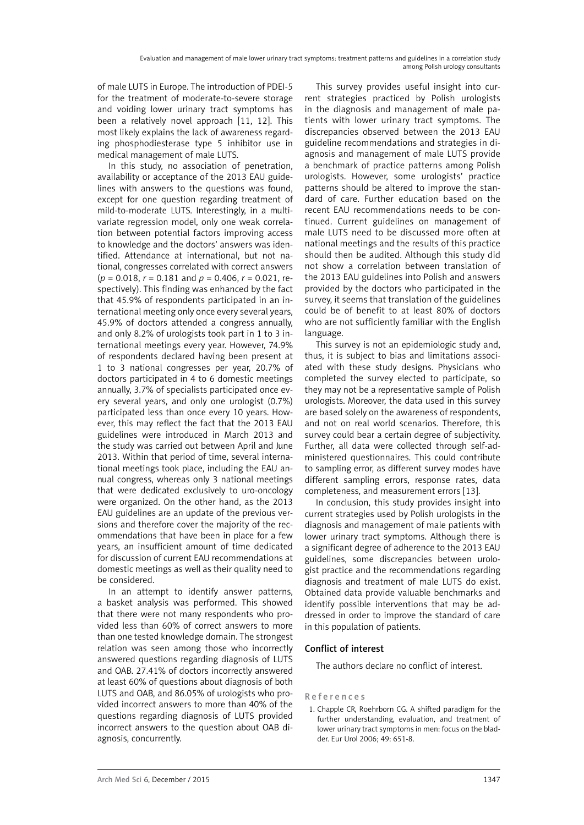of male LUTS in Europe. The introduction of PDEI-5 for the treatment of moderate-to-severe storage and voiding lower urinary tract symptoms has been a relatively novel approach [11, 12]. This most likely explains the lack of awareness regarding phosphodiesterase type 5 inhibitor use in medical management of male LUTS.

In this study, no association of penetration, availability or acceptance of the 2013 EAU guidelines with answers to the questions was found, except for one question regarding treatment of mild-to-moderate LUTS. Interestingly, in a multivariate regression model, only one weak correlation between potential factors improving access to knowledge and the doctors' answers was identified. Attendance at international, but not national, congresses correlated with correct answers (*p* = 0.018, *r* = 0.181 and *p* = 0.406, *r* = 0.021, respectively). This finding was enhanced by the fact that 45.9% of respondents participated in an international meeting only once every several years, 45.9% of doctors attended a congress annually, and only 8.2% of urologists took part in 1 to 3 international meetings every year. However, 74.9% of respondents declared having been present at 1 to 3 national congresses per year, 20.7% of doctors participated in 4 to 6 domestic meetings annually, 3.7% of specialists participated once every several years, and only one urologist (0.7%) participated less than once every 10 years. However, this may reflect the fact that the 2013 EAU guidelines were introduced in March 2013 and the study was carried out between April and June 2013. Within that period of time, several international meetings took place, including the EAU annual congress, whereas only 3 national meetings that were dedicated exclusively to uro-oncology were organized. On the other hand, as the 2013 EAU guidelines are an update of the previous versions and therefore cover the majority of the recommendations that have been in place for a few years, an insufficient amount of time dedicated for discussion of current EAU recommendations at domestic meetings as well as their quality need to be considered.

In an attempt to identify answer patterns, a basket analysis was performed. This showed that there were not many respondents who provided less than 60% of correct answers to more than one tested knowledge domain. The strongest relation was seen among those who incorrectly answered questions regarding diagnosis of LUTS and OAB. 27.41% of doctors incorrectly answered at least 60% of questions about diagnosis of both LUTS and OAB, and 86.05% of urologists who provided incorrect answers to more than 40% of the questions regarding diagnosis of LUTS provided incorrect answers to the question about OAB diagnosis, concurrently.

This survey provides useful insight into current strategies practiced by Polish urologists in the diagnosis and management of male patients with lower urinary tract symptoms. The discrepancies observed between the 2013 EAU guideline recommendations and strategies in diagnosis and management of male LUTS provide a benchmark of practice patterns among Polish urologists. However, some urologists' practice patterns should be altered to improve the standard of care. Further education based on the recent EAU recommendations needs to be continued. Current guidelines on management of male LUTS need to be discussed more often at national meetings and the results of this practice should then be audited. Although this study did not show a correlation between translation of the 2013 EAU guidelines into Polish and answers provided by the doctors who participated in the survey, it seems that translation of the guidelines could be of benefit to at least 80% of doctors who are not sufficiently familiar with the English language.

This survey is not an epidemiologic study and, thus, it is subject to bias and limitations associated with these study designs. Physicians who completed the survey elected to participate, so they may not be a representative sample of Polish urologists. Moreover, the data used in this survey are based solely on the awareness of respondents, and not on real world scenarios. Therefore, this survey could bear a certain degree of subjectivity. Further, all data were collected through self-administered questionnaires. This could contribute to sampling error, as different survey modes have different sampling errors, response rates, data completeness, and measurement errors [13].

In conclusion, this study provides insight into current strategies used by Polish urologists in the diagnosis and management of male patients with lower urinary tract symptoms. Although there is a significant degree of adherence to the 2013 EAU guidelines, some discrepancies between urologist practice and the recommendations regarding diagnosis and treatment of male LUTS do exist. Obtained data provide valuable benchmarks and identify possible interventions that may be addressed in order to improve the standard of care in this population of patients.

## Conflict of interest

The authors declare no conflict of interest.

#### References

1. Chapple CR, Roehrborn CG. A shifted paradigm for the further understanding, evaluation, and treatment of lower urinary tract symptoms in men: focus on the bladder. Eur Urol 2006; 49: 651-8.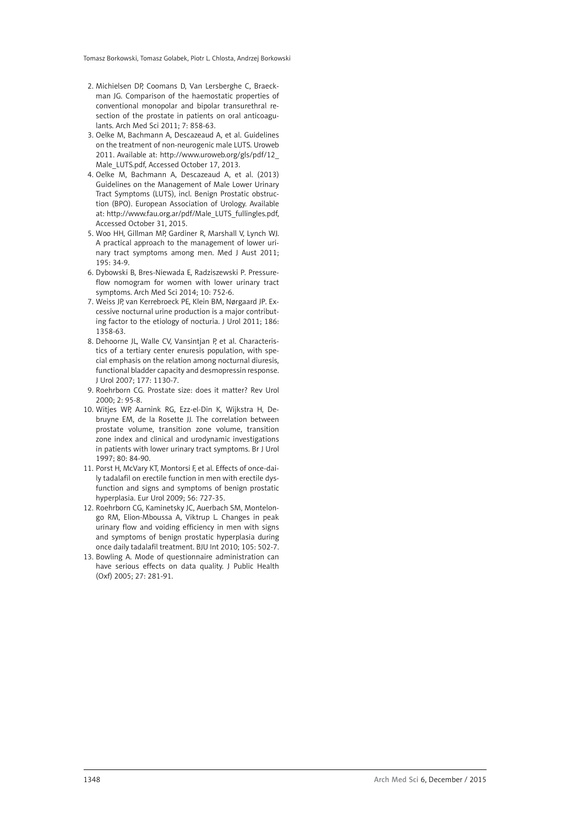Tomasz Borkowski, Tomasz Golabek, Piotr L. Chlosta, Andrzej Borkowski

- 2. Michielsen DP, Coomans D, Van Lersberghe C, Braeckman JG. Comparison of the haemostatic properties of conventional monopolar and bipolar transurethral resection of the prostate in patients on oral anticoagulants. Arch Med Sci 2011; 7: 858-63.
- 3. Oelke M, Bachmann A, Descazeaud A, et al. Guidelines on the treatment of non-neurogenic male LUTS. Uroweb 2011. Available at: http://www.uroweb.org/gls/pdf/12\_ Male\_LUTS.pdf, Accessed October 17, 2013.
- 4. Oelke M, Bachmann A, Descazeaud A, et al. (2013) Guidelines on the Management of Male Lower Urinary Tract Symptoms (LUTS), incl. Benign Prostatic obstruction (BPO). European Association of Urology. Available at: http://www.fau.org.ar/pdf/Male\_LUTS\_fullingles.pdf, Accessed October 31, 2015.
- 5. Woo HH, Gillman MP, Gardiner R, Marshall V, Lynch WJ. A practical approach to the management of lower urinary tract symptoms among men. Med J Aust 2011; 195: 34-9.
- 6. Dybowski B, Bres-Niewada E, Radziszewski P. Pressureflow nomogram for women with lower urinary tract symptoms. Arch Med Sci 2014; 10: 752-6.
- 7. Weiss JP, van Kerrebroeck PE, Klein BM, Nørgaard JP. Excessive nocturnal urine production is a major contributing factor to the etiology of nocturia. J Urol 2011; 186: 1358-63.
- 8. Dehoorne JL, Walle CV, Vansintjan P, et al. Characteristics of a tertiary center enuresis population, with special emphasis on the relation among nocturnal diuresis, functional bladder capacity and desmopressin response. J Urol 2007; 177: 1130-7.
- 9. Roehrborn CG. Prostate size: does it matter? Rev Urol 2000; 2: 95-8.
- 10. Witjes WP, Aarnink RG, Ezz-el-Din K, Wijkstra H, Debruyne EM, de la Rosette JJ. The correlation between prostate volume, transition zone volume, transition zone index and clinical and urodynamic investigations in patients with lower urinary tract symptoms. Br J Urol 1997; 80: 84-90.
- 11. Porst H, McVary KT, Montorsi F, et al. Effects of once-daily tadalafil on erectile function in men with erectile dysfunction and signs and symptoms of benign prostatic hyperplasia. Eur Urol 2009; 56: 727-35.
- 12. Roehrborn CG, Kaminetsky JC, Auerbach SM, Montelongo RM, Elion-Mboussa A, Viktrup L. Changes in peak urinary flow and voiding efficiency in men with signs and symptoms of benign prostatic hyperplasia during once daily tadalafil treatment. BJU Int 2010; 105: 502-7.
- 13. Bowling A. Mode of questionnaire administration can have serious effects on data quality. J Public Health (Oxf) 2005; 27: 281-91.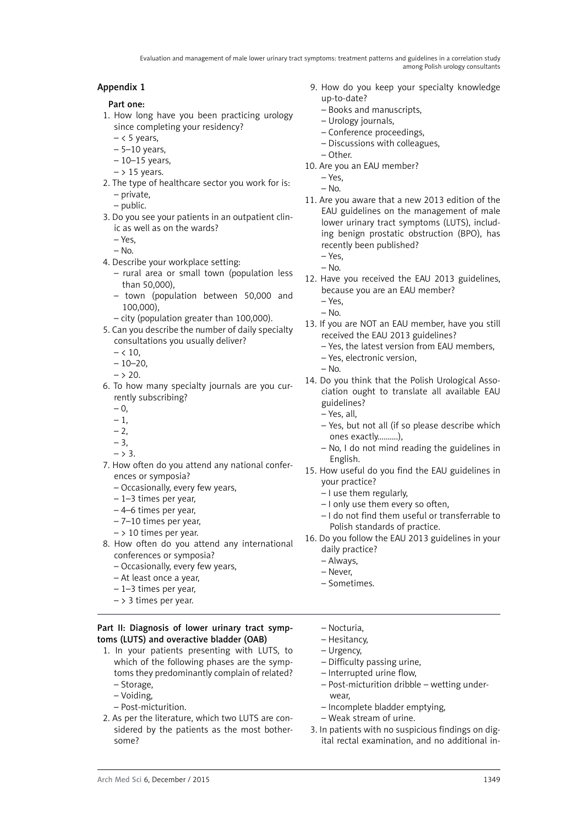Evaluation and management of male lower urinary tract symptoms: treatment patterns and guidelines in a correlation study among Polish urology consultants

### Appendix 1

#### Part one:

- 1. How long have you been practicing urology since completing your residency?
	- $-$  < 5 years.
	- $-5-10$  years.
	- 10–15 years,
	- $-$  > 15 years.
- 2. The type of healthcare sector you work for is: – private,
	- public.
- 3. Do you see your patients in an outpatient clinic as well as on the wards?
	- $-$  Yes
	- No.
- 4. Describe your workplace setting:
	- rural area or small town (population less than 50,000),
	- town (population between 50,000 and 100,000),
	- city (population greater than 100,000).
- 5. Can you describe the number of daily specialty consultations you usually deliver?
	- $< 10$ .
	- $-10-20$
	- $-$  > 20.
- 6. To how many specialty journals are you currently subscribing?
	- $-0$ .
	- 1,
	- $-2$
	- $-3$ .
	- $-$  > 3.
- 7. How often do you attend any national conferences or symposia?
	- Occasionally, every few years,
	- 1–3 times per year,
	- 4–6 times per year,
	- 7–10 times per year,
	- $-$  > 10 times per year.
- 8. How often do you attend any international conferences or symposia?
	- Occasionally, every few years,
	- At least once a year,
	- 1–3 times per year,
	- $-$  > 3 times per year.

## Part II: Diagnosis of lower urinary tract symptoms (LUTS) and overactive bladder (OAB)

- 1. In your patients presenting with LUTS, to which of the following phases are the symptoms they predominantly complain of related? – Storage,
	- Voiding,
	- Post-micturition.
- 2. As per the literature, which two LUTS are considered by the patients as the most bothersome?
- 9. How do you keep your specialty knowledge up-to-date?
	- Books and manuscripts,
	- Urology journals,
	- Conference proceedings,
	- Discussions with colleagues,
	- Other.
- 10. Are you an EAU member?
	- Yes,
	- No.
- 11. Are you aware that a new 2013 edition of the EAU guidelines on the management of male lower urinary tract symptoms (LUTS), including benign prostatic obstruction (BPO), has recently been published?
	- Yes,
	- $-$  No.
- 12. Have you received the EAU 2013 guidelines, because you are an EAU member?
	- Yes,
	- $-$  No.
- 13. If you are NOT an EAU member, have you still received the EAU 2013 guidelines?
	- Yes, the latest version from EAU members,
	- Yes, electronic version,
	- No.
- 14. Do you think that the Polish Urological Association ought to translate all available EAU guidelines?
	- Yes, all,
	- Yes, but not all (if so please describe which ones exactly……….),
	- No, I do not mind reading the guidelines in English.
- 15. How useful do you find the EAU guidelines in your practice?
	- I use them regularly,
	- I only use them every so often,
	- I do not find them useful or transferrable to Polish standards of practice.
- 16. Do you follow the EAU 2013 guidelines in your daily practice?
	- Always,
	- Never,
	- Sometimes.
	- Nocturia,
	-
	- Urgency,
	- Difficulty passing urine,
	- Interrupted urine flow,
	- Post-micturition dribble wetting underwear,
	- Incomplete bladder emptying,
	- Weak stream of urine.
	- 3. In patients with no suspicious findings on digital rectal examination, and no additional in-

– Hesitancy,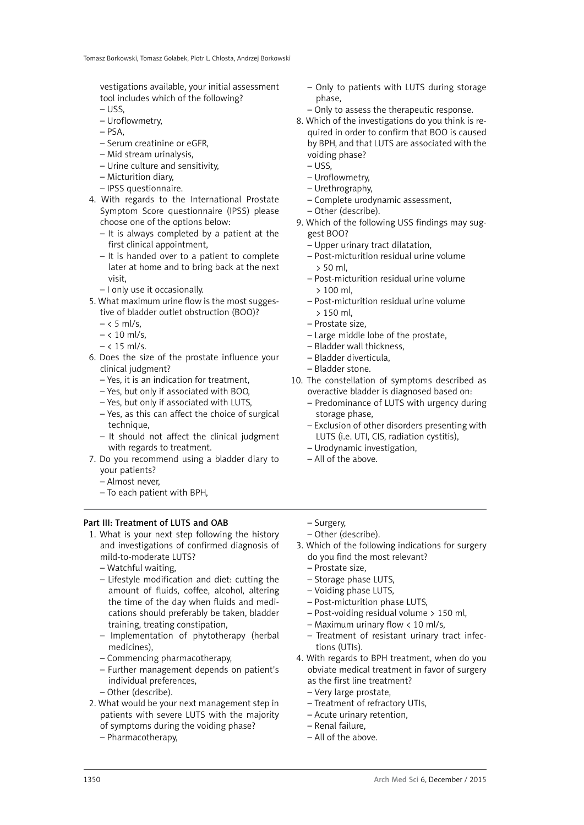vestigations available, your initial assessment tool includes which of the following?

– USS,

- Uroflowmetry,
- PSA,
- Serum creatinine or eGFR,
- Mid stream urinalysis,
- Urine culture and sensitivity,
- Micturition diary,
- IPSS questionnaire.
- 4. With regards to the International Prostate Symptom Score questionnaire (IPSS) please choose one of the options below:
	- It is always completed by a patient at the first clinical appointment,
	- It is handed over to a patient to complete later at home and to bring back at the next visit,
	- I only use it occasionally.
- 5. What maximum urine flow is the most suggestive of bladder outlet obstruction (BOO)?
	- $< 5$  ml/s,
	- $< 10$  ml/s,
	- $-$  < 15 ml/s.
- 6. Does the size of the prostate influence your clinical judgment?
	- Yes, it is an indication for treatment,
	- Yes, but only if associated with BOO,
	- Yes, but only if associated with LUTS,
	- Yes, as this can affect the choice of surgical technique.
	- It should not affect the clinical judgment with regards to treatment.
- 7. Do you recommend using a bladder diary to your patients?
	- Almost never,
	- To each patient with BPH,

#### Part III: Treatment of LUTS and OAB

- 1. What is your next step following the history and investigations of confirmed diagnosis of mild-to-moderate LUTS?
	- Watchful waiting,
	- Lifestyle modification and diet: cutting the amount of fluids, coffee, alcohol, altering the time of the day when fluids and medications should preferably be taken, bladder training, treating constipation,
	- Implementation of phytotherapy (herbal medicines),
	- Commencing pharmacotherapy,
	- Further management depends on patient's individual preferences,
	- Other (describe).
- 2. What would be your next management step in patients with severe LUTS with the majority of symptoms during the voiding phase?
	- Pharmacotherapy,
- Only to patients with LUTS during storage phase,
- Only to assess the therapeutic response.
- 8. Which of the investigations do you think is required in order to confirm that BOO is caused by BPH, and that LUTS are associated with the voiding phase?
	- USS,
	- Uroflowmetry,
	- Urethrography,
	- Complete urodynamic assessment,
	- Other (describe).
- 9. Which of the following USS findings may suggest BOO?
	- Upper urinary tract dilatation,
	- Post-micturition residual urine volume  $50 m$
	- Post-micturition residual urine volume  $> 100$  ml
	- Post-micturition residual urine volume > 150 ml,
	- Prostate size,
	- Large middle lobe of the prostate,
	- Bladder wall thickness,
	- Bladder diverticula,
	- Bladder stone.
- 10. The constellation of symptoms described as overactive bladder is diagnosed based on:
	- Predominance of LUTS with urgency during storage phase,
	- Exclusion of other disorders presenting with LUTS (i.e. UTI, CIS, radiation cystitis),
	- Urodynamic investigation,
	- All of the above.
	- Surgery,
	- Other (describe).
- 3. Which of the following indications for surgery do you find the most relevant?
	- Prostate size,
	- Storage phase LUTS,
	- Voiding phase LUTS,
	- Post-micturition phase LUTS,
	- Post-voiding residual volume > 150 ml,
	- Maximum urinary flow < 10 ml/s,
	- Treatment of resistant urinary tract infections (UTIs).
- 4. With regards to BPH treatment, when do you obviate medical treatment in favor of surgery as the first line treatment?
	- Very large prostate,
	- Treatment of refractory UTIs,
	- Acute urinary retention,
	- Renal failure,
	- All of the above.